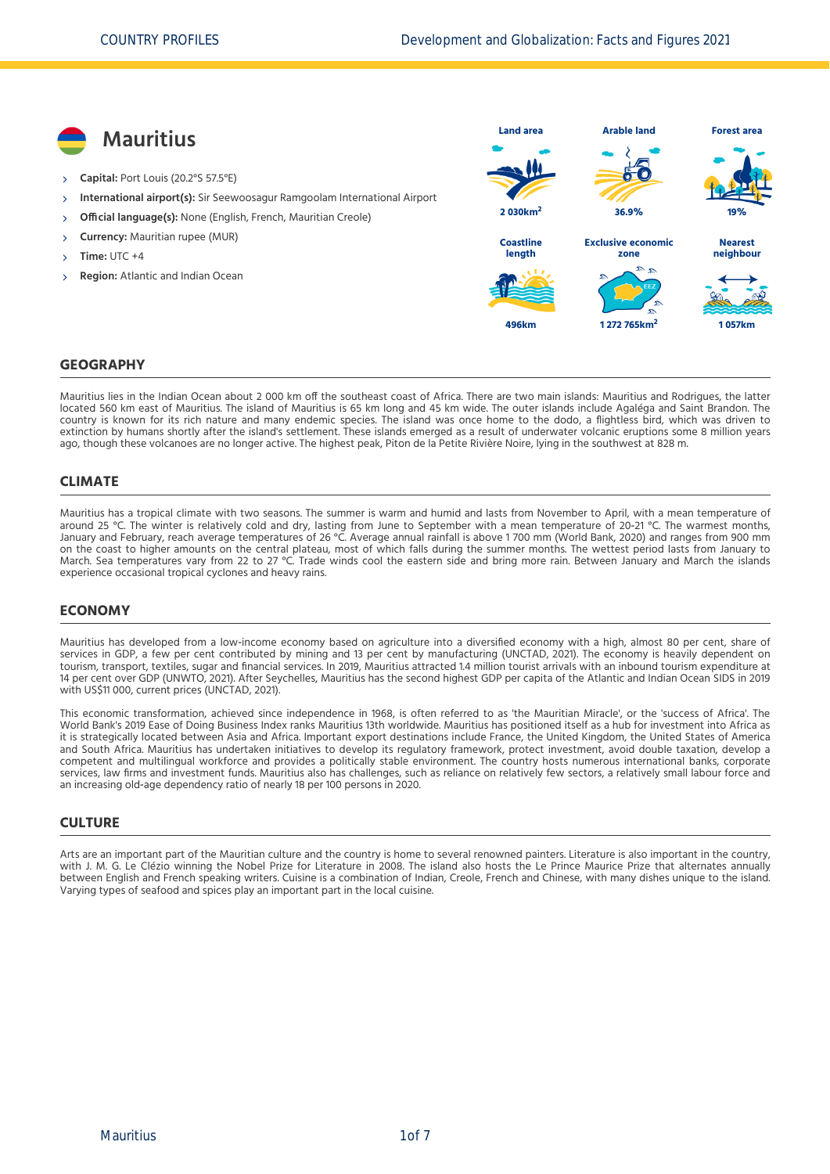

#### **GEOGRAPHY**

Mauritius lies in the Indian Ocean about 2 000 km off the southeast coast of Africa. There are two main islands: Mauritius and Rodrigues, the latter located 560 km east of Mauritius. The island of Mauritius is 65 km long and 45 km wide. The outer islands include Agaléga and Saint Brandon. The country is known for its rich nature and many endemic species. The island was once home to the dodo, a flightless bird, which was driven to extinction by humans shortly after the island's settlement. These islands emerged as a result of underwater volcanic eruptions some 8 million years ago, though these volcanoes are no longer active. The highest peak, Piton de la Petite Rivière Noire, lying in the southwest at 828 m.

#### **CLIMATE**

Mauritius has a tropical climate with two seasons. The summer is warm and humid and lasts from November to April, with a mean temperature of around 25 °C. The winter is relatively cold and dry, lasting from June to September with a mean temperature of 20‐21 °C. The warmest months, January and February, reach average temperatures of 26 °C. Average annual rainfall is above 1 700 mm [\(World Bank, 2020\)](#page-6-0) and ranges from 900 mm on the coast to higher amounts on the central plateau, most of which falls during the summer months. The wettest period lasts from January to March. Sea temperatures vary from 22 to 27 °C. Trade winds cool the eastern side and bring more rain. Between January and March the islands experience occasional tropical cyclones and heavy rains.

#### **ECONOMY**

Mauritius has developed from a low-income economy based on agriculture into a diversified economy with a high, almost 80 per cent, share of services in GDP, a few per cent contributed by mining and 13 per cent by manufacturing [\(UNCTAD, 2021\)](#page-6-1). The economy is heavily dependent on tourism, transport, textiles, sugar and financial services. In 2019, Mauritius attracted 1.4 million tourist arrivals with an inbound tourism expenditure at 14 per cent over GDP [\(UNWTO, 2021\)](#page-6-2). After Seychelles, Mauritius has the second highest GDP per capita of the Atlantic and Indian Ocean SIDS in 2019 with US\$11 000, current prices [\(UNCTAD, 2021\).](#page-6-1)

This economic transformation, achieved since independence in 1968, is often referred to as 'the Mauritian Miracle', or the 'success of Africa'. The World Bank's 2019 Ease of Doing Business Index ranks Mauritius 13th worldwide. Mauritius has positioned itself as a hub for investment into Africa as it is strategically located between Asia and Africa. Important export destinations include France, the United Kingdom, the United States of America and South Africa. Mauritius has undertaken initiatives to develop its regulatory framework, protect investment, avoid double taxation, develop a competent and multilingual workforce and provides a politically stable environment. The country hosts numerous international banks, corporate services, law firms and investment funds. Mauritius also has challenges, such as reliance on relatively few sectors, a relatively small labour force and an increasing old‐age dependency ratio of nearly 18 per 100 persons in 2020.

#### **CULTURE**

Arts are an important part of the Mauritian culture and the country is home to several renowned painters. Literature is also important in the country, with J. M. G. Le Clézio winning the Nobel Prize for Literature in 2008. The island also hosts the Le Prince Maurice Prize that alternates annually between English and French speaking writers. Cuisine is a combination of Indian, Creole, French and Chinese, with many dishes unique to the island. Varying types of seafood and spices play an important part in the local cuisine.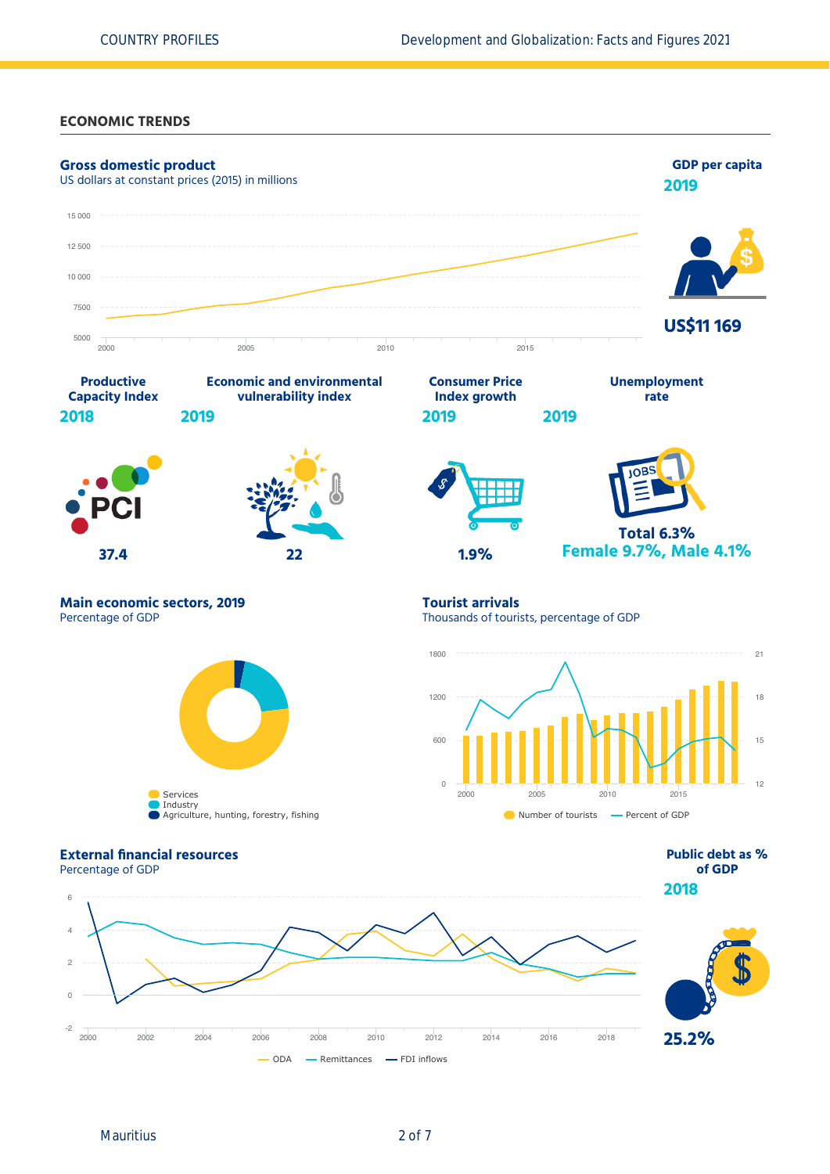#### **ECONOMIC TRENDS**

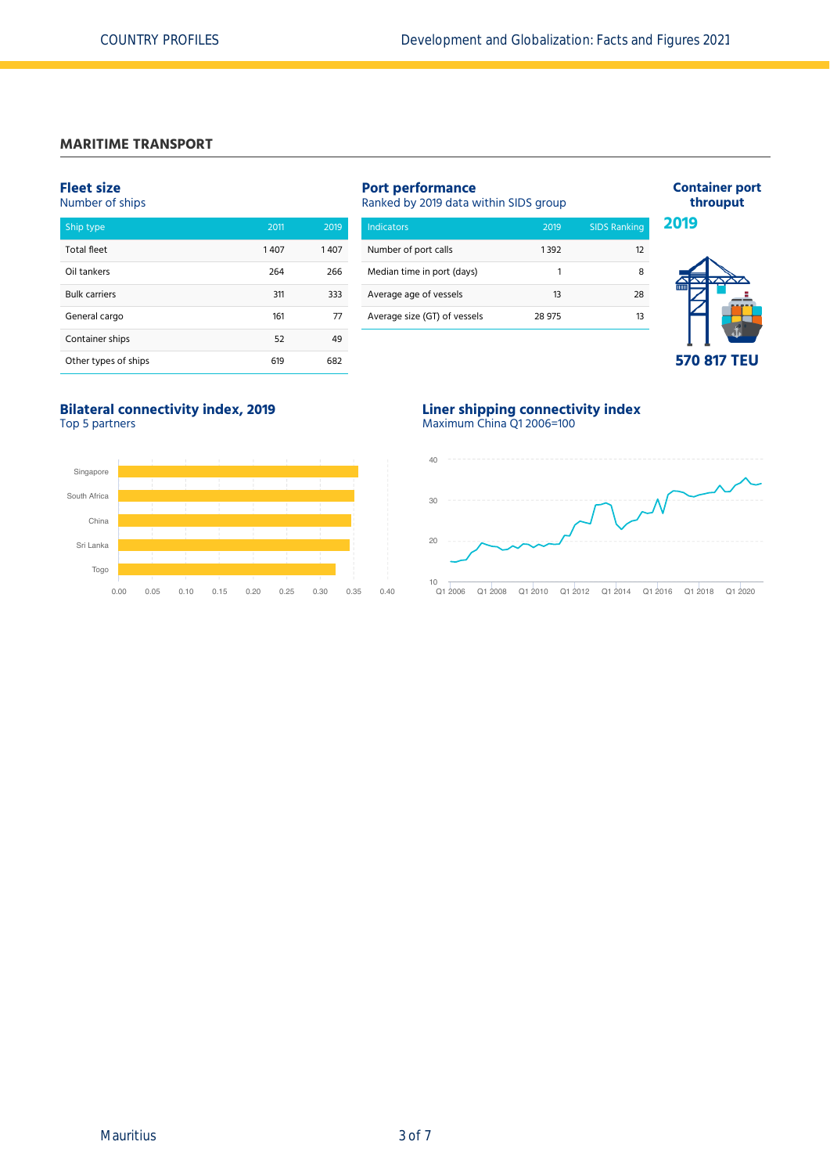#### **MARITIME TRANSPORT**

#### **Fleet size**

#### Number of ships

| Ship type            | 2011 | 2019 |
|----------------------|------|------|
| <b>Total fleet</b>   | 1407 | 1407 |
| Oil tankers          | 264  | 266  |
| <b>Bulk carriers</b> | 311  | 333  |
| General cargo        | 161  | 77   |
| Container ships      | 52   | 49   |
| Other types of ships | 619  | 682  |

## **Port performance** Ranked by 2019 data within SIDS group Indicators 2019 SIDS Ranking Number of port calls 1392

| Median time in port (days)   |        |    |
|------------------------------|--------|----|
| Average age of vessels       | 13     | 28 |
| Average size (GT) of vessels | 28 975 | 13 |
|                              |        |    |



**Container port throuput**

## **570 817 TEU**

#### **Bilateral connectivity index, 2019** Top 5 partners



#### **Liner shipping connectivity index** Maximum China Q1 2006=100

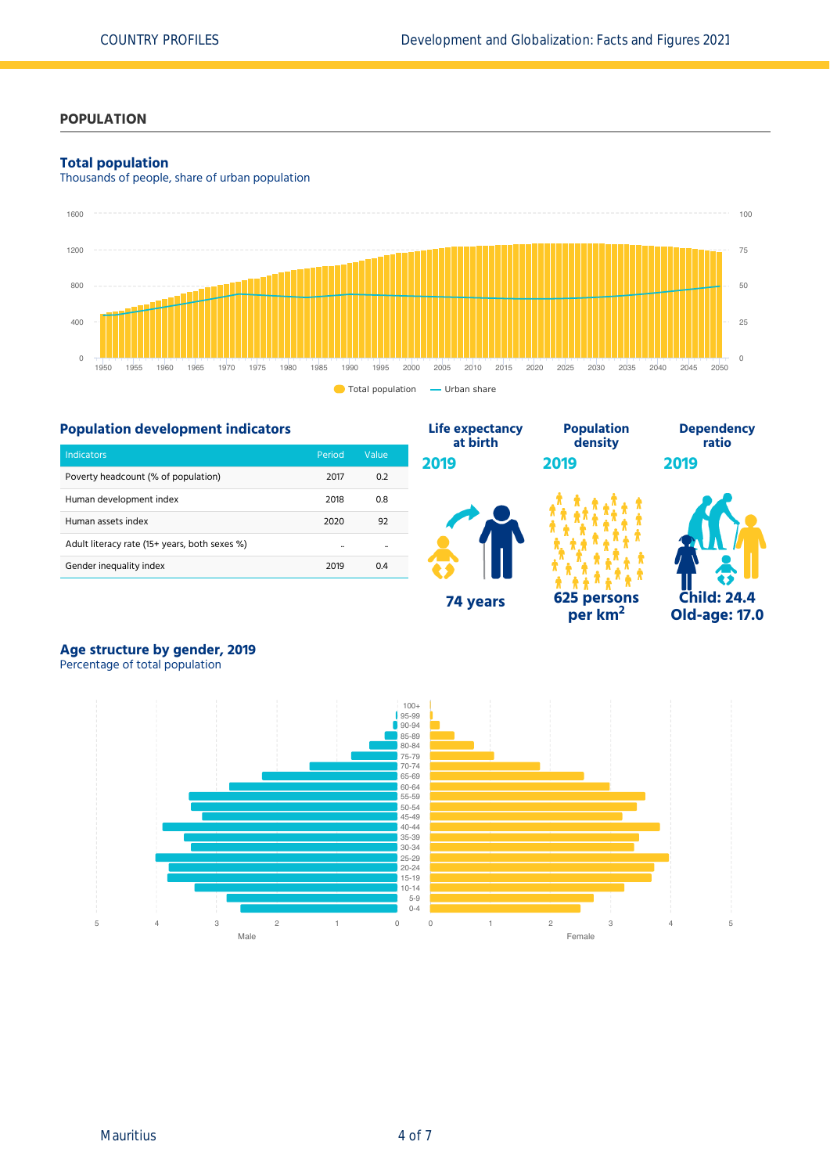## **POPULATION**

#### **Total population**

Thousands of people, share of urban population



## **Population development indicators**

| <b>Indicators</b>                             | Period | Value |
|-----------------------------------------------|--------|-------|
| Poverty headcount (% of population)           | 2017   | 0.2   |
| Human development index                       | 2018   | 0.8   |
| Human assets index                            | 2020   | 92    |
| Adult literacy rate (15+ years, both sexes %) |        |       |
| Gender inequality index                       | 2019   | 0.4   |



**per km<sup>2</sup>**



# **Age structure by gender, 2019**

Percentage of total population

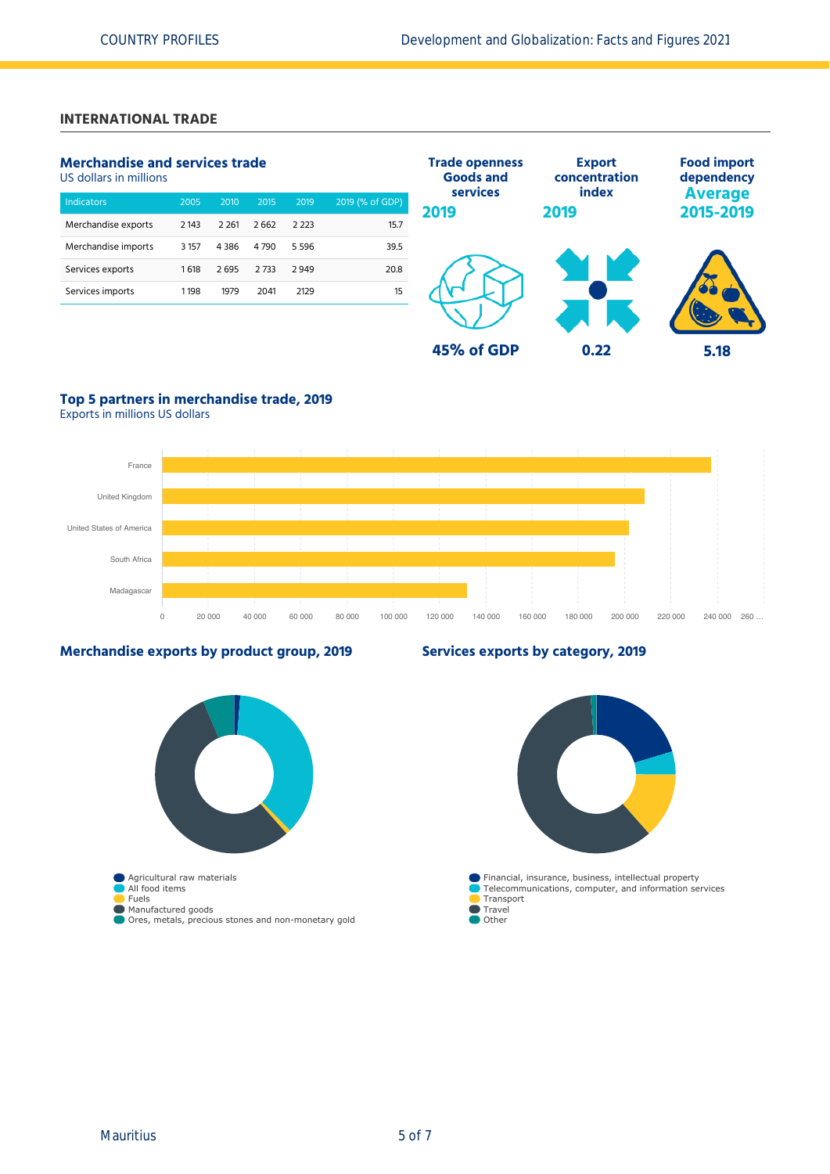## **INTERNATIONAL TRADE**

## **Merchandise and services trade**

US dollars in millions

| <b>Indicators</b>   | 2005    | 2010    | 2015 | 2019    | 2019 (% of GDP) |
|---------------------|---------|---------|------|---------|-----------------|
| Merchandise exports | 2 143   | 2 2 6 1 | 2662 | 2 223   | 15.7            |
| Merchandise imports | 3 1 5 7 | 4386    | 4790 | 5 5 9 6 | 39.5            |
| Services exports    | 1618    | 2695    | 2733 | 2949    | 20.8            |
| Services imports    | 1198    | 1979    | 2041 | 2129    | 15              |
|                     |         |         |      |         |                 |



## **Top 5 partners in merchandise trade, 2019**

Exports in millions US dollars



#### **Merchandise exports by product group, 2019**

#### **Services exports by category, 2019**

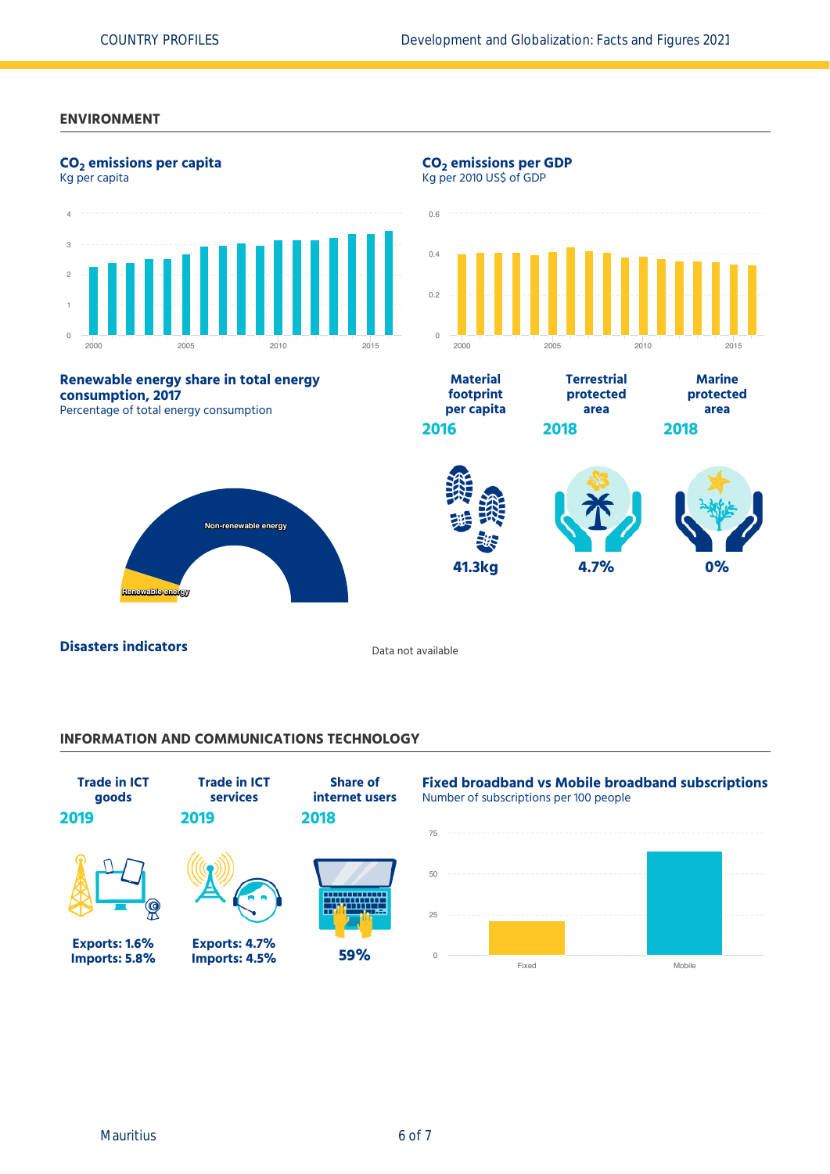#### **ENVIRONMENT**



#### **INFORMATION AND COMMUNICATIONS TECHNOLOGY**